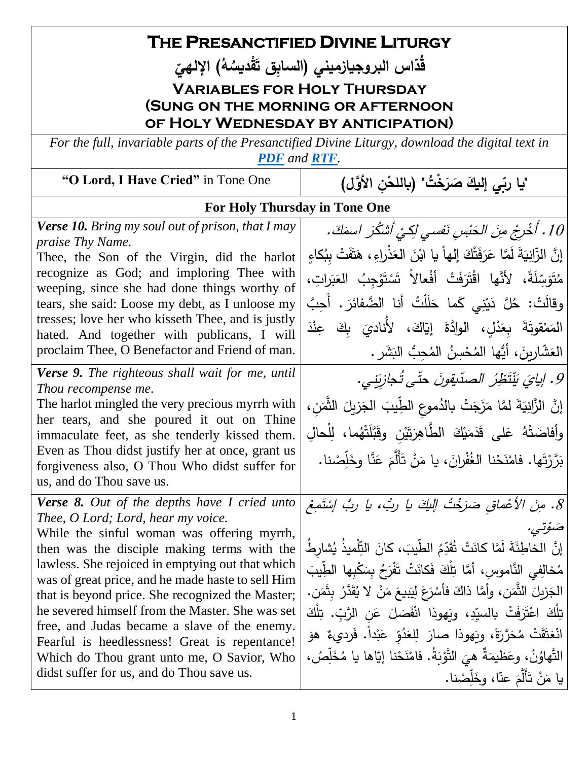| THE PRESANCTIFIED DIVINE LITURGY                                                                                                |                                                                                     |
|---------------------------------------------------------------------------------------------------------------------------------|-------------------------------------------------------------------------------------|
| قَدّاس البروجيازميني (السابق تَقْديسُهُ) الإلهيّ                                                                                |                                                                                     |
|                                                                                                                                 | <b>VARIABLES FOR HOLY THURSDAY</b>                                                  |
| (SUNG ON THE MORNING OR AFTERNOON                                                                                               |                                                                                     |
| OF HOLY WEDNESDAY BY ANTICIPATION)                                                                                              |                                                                                     |
| For the full, invariable parts of the Presanctified Divine Liturgy, download the digital text in<br><b>PDF</b> and <b>RTF</b> . |                                                                                     |
| "O Lord, I Have Cried" in Tone One                                                                                              | "يا ربِّي إليكَ صَرَخْتُ" (باللحْن الأوَّل)                                         |
| For Holy Thursday in Tone One                                                                                                   |                                                                                     |
| <b>Verse 10.</b> Bring my soul out of prison, that I may<br>praise Thy Name.                                                    | 10 . أَخْرِجْ مِنَ الْحَنْسِ نَفسى لِكِيْ أَشْكُرَ اسمَكَ .                         |
| Thee, the Son of the Virgin, did the harlot                                                                                     | إِنَّ الزَّانِيَةَ لَمَّا عَرَفَتْكَ إِلهاً يا ابْنَ العَذْراءِ ، هَتَفَتْ بِبُكاءٍ |
| recognize as God; and imploring Thee with<br>weeping, since she had done things worthy of                                       | مُتَوَسِّلَةً، لأَنَّها اقْتَرَفَتْ أَفْعالاً تَسْتَوْجِبُ العَبَراتِ،              |
| tears, she said: Loose my debt, as I unloose my                                                                                 | وقالَتْ: خُلَّ دَيْنِي كَما حَلَلْتُ أنا الضَّفائرَ . أُحِبَّ                       |
| tresses; love her who kisseth Thee, and is justly<br>hated. And together with publicans, I will                                 | المَمْقوتَةَ بِعَدْلِ، الوادَّةَ إِيَّاكَ، لأَناديَ بِكَ عِنْدَ                     |
| proclaim Thee, O Benefactor and Friend of man.                                                                                  | العَشَّارِينَ، أَيُّها المُحْسِنُ المُحِبُّ البَشَرِ.                               |
| <b>Verse 9.</b> The righteous shall wait for me, until                                                                          | 9. إيايَ يَنْتَظِرُ الصدّيقونَ حتّى تُجازِيَنِي.                                    |
| Thou recompense me.<br>The harlot mingled the very precious myrrh with                                                          | إِنَّ الزَّانِيَةَ لمَّا مَزَجَتْ بالدُموعِ الطِّيبَ الجَزيلَ الثَّمَنِ،            |
| her tears, and she poured it out on Thine<br>immaculate feet, as she tenderly kissed them.                                      | وأفاضَتْهُ عَلى قَدَمَيْكَ الطَّاهِرَتَيْنِ وقَبَّلَتْهُما، لِلْحالِ                |
| Even as Thou didst justify her at once, grant us                                                                                | بَرَّرْتَها . فامْنَحْنا الغُفْرانَ، يا مَنْ تَأَلَّمَ عَنَّا وخَلِّصْنا .          |
| forgiveness also, O Thou Who didst suffer for<br>us, and do Thou save us.                                                       |                                                                                     |
| <b>Verse 8.</b> Out of the depths have I cried unto                                                                             | 8. مِنَ الأعْماقِ صَرَخْتُ اللَّكَ يا رِبُ، يا رِبُ إِسْتَمِعْ                      |
| Thee, O Lord; Lord, hear my voice.<br>While the sinful woman was offering myrrh,                                                | ضۆتى.                                                                               |
| then was the disciple making terms with the                                                                                     | إِنَّ الخاطِئَةَ لَمَّا كانَتْ تُقَدِّمُ الطَّيبَ، كانَ التِّلْميذُ يُشارِطُ        |
| lawless. She rejoiced in emptying out that which<br>was of great price, and he made haste to sell Him                           | مُخالِفِي النَّاموسِ، أمَّا تِلْكَ فَكانَتْ تَفْرَحُ بِسَكْبِها الطِّيبَ            |
| that is beyond price. She recognized the Master;                                                                                | الْجَزِيلَ النُّمَنِ، وأَمَّا ذاكَ فأَسْرَعَ لِيَبِيعَ مَنْ لا يُقَدَّرُ بِثَمَنٍ.  |
| he severed himself from the Master. She was set                                                                                 | تِلْكَ اعْتَرَفَتْ بِالسيّدِ، ويَهوذا انْفَصَلَ عَنِ الرَّبِّ. تِلْكَ               |
| free, and Judas became a slave of the enemy.<br>Fearful is heedlessness! Great is repentance!                                   | انْعَتَّقَتْ مُحَرَّرَةً، ويَهوذا صارَ لِلعَدُوّ عَبْداً. فَرديءٌ هوَ               |
| Which do Thou grant unto me, O Savior, Who                                                                                      | النَّهاوُنُ، وعَظيمَةٌ هيَ النَّوْبَةُ. فامْنَحْنا إيّاها يا مُخَلِّصُ،             |
| didst suffer for us, and do Thou save us.                                                                                       | يا مَنْ تَأَلَّمَ عنّا، وخَلِّصْنا.                                                 |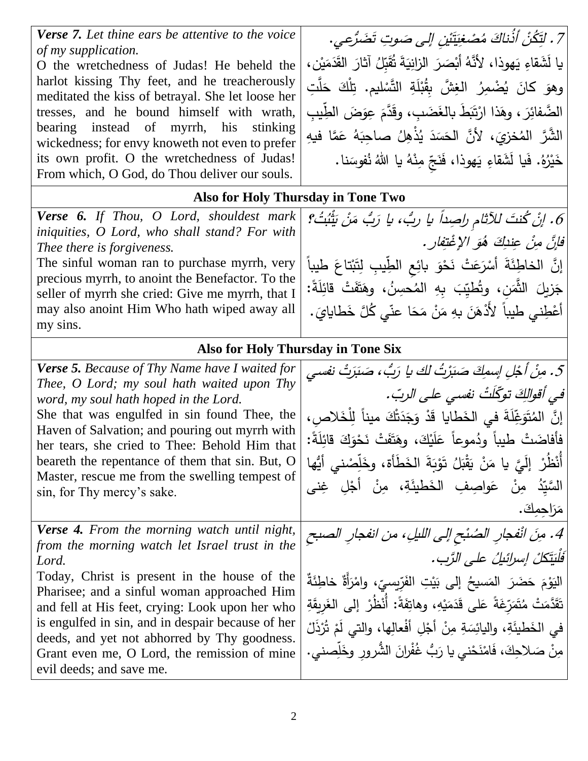*Verse 7. Let thine ears be attentive to the voice of my supplication.*

O the wretchedness of Judas! He beheld the harlot kissing Thy feet, and he treacherously meditated the kiss of betrayal. She let loose her tresses, and he bound himself with wrath, bearing instead of myrrh, his stinking wickedness; for envy knoweth not even to prefer its own profit. O the wretchedness of Judas! From which, O God, do Thou deliver our souls.

7 . لَتِّكُنُّ أَذْنَاكَ مُصْد َأذُناك لَتِّكُنُّ أَذَٰناكَ مُصْغِيَّتَْ نْ*يْنِ إِلَى صَوتِ تَضَرُّعي*. يا لَشَقاءِ يَهوذا، لأَنَّهُ أَبْصَرَ الزانِيَةَ تُقَبِّلُ آثارَ القَدَمَيْنِ، ا<br>ا .<br>م .<br>م  $\overline{a}$ .<br>م ا<br>با وهوَ كانَ يُضْمِرُ الغِشَّ بِقُبْلَةِ التَّسْليم. تِلْكَ حَلَّتِ ۔<br>.. ْ .<br>. الضَّفائِرَ ، وهَذا ارْتَبَطَ بالغَضَبِ ، وقَدَّمَ عِوَضَ الطِّيبِ<br>-مُ َ َ َ .<br>ا الشَّرَّ المُخزِيَ، لأنَّ الحَسَدَ يُذْهِلُ صاحِبَهُ عَمَّا فيهِ <u>ء</u> َ :<br>ا ً<br>ب خَيْرُهُ. فَيا لَشَقاءِ يَهوذا، فَنَجِّ مِنْهُ يا اللهُ نُفوسَنا. ً<br>أ َ ٔ.

## **Also for Holy Thursday in Tone Two**

*Verse 6. If Thou, O Lord, shouldest mark iniquities, O Lord, who shall stand? For with Thee there is forgiveness.*

The sinful woman ran to purchase myrrh, very precious myrrh, to anoint the Benefactor. To the seller of myrrh she cried: Give me myrrh, that I may also anoint Him Who hath wiped away all my sins.

6. إنْ كُنتَ للآثام راصِداً يا ربُ، يا للآثامِ راحِيداً يا ربُ، يا رَبُّ، ن رَبٌ مَنْ بَثْنُ ُُت ب ؟ فَابِنَّ مِنْ عِندِكَ هُوَ الإغْتِفارِ . إِنَّ الْخاطِئَةَ أَسْرَعَتْ نَحْوَ بائِعِ الطِّيبِ لِتَبْتاعَ طيباً ِ با  $\frac{1}{2}$ َ ٔ ْ جَزيلَ الثَّمَنِ، وتُطْيِّبَ بِهِ المُحسِنُ، وهَتَفَتْ قائِلَةً:<br>محمد <u>آ</u> ى<br>ئا **∶** أَعْطِني طيباً لأَدْهَنَ بهِ مَنْ مَحَا عنّي كُلَّ خَطايايَ. .<br>. َ ا<br>ا ا<br>ا .<br>-ْ

## **Also for Holy Thursday in Tone Six**

| 5. مِنْ أَجْلِ إِسمِكَ صَبَرْتُ لَكَ يا رَبُّ، صَبَرَتْ نفسي                   |
|--------------------------------------------------------------------------------|
|                                                                                |
| في أقوالِكَ توكّلَتُ نفسي على الربّ.                                           |
| إِنَّ المُتَوَغِّلَةَ في الخَطايا قَدْ وَجَدَتْكَ ميناً لِلْخَلاص،             |
|                                                                                |
| فأفاضَتْ طيباً ودُموعاً عَلَيْكَ، وهَتَفَتْ نَحْوَكَ قائِلَةً:                 |
| أَنْظُرْ ۖ إِلَيَّ يا مَنْ يَقْبَلُ تَوْبَةَ الخَطَأَة، وخَلِّصْنـى أَيُّها    |
|                                                                                |
| السَّيِّدُ مِنْ عَواصِفِ الخَطيئَةِ، مِنْ أَجْلِ غِني                          |
| مَرَاحمكَ.                                                                     |
| 4. مِنَ انْفجارِ الصُنْحِ إلى الليلِ، من انفجارِ الصبح                         |
|                                                                                |
| فَلْيَتَكَلْ إِسْرَائِيلُ عَلَى الرَّبِ.                                       |
| الْيَوْمَ حَضَرَ  المَسيحُ  إلى  بَيْتِ  الفَرّيِسيّ،  وامْرَأَةٌ  خاطِئَةٌ    |
|                                                                                |
| نَقَدَّمَتْ مُتَمَرِّغَةً عَلى قَدَمَيْهِ، وهاتِفَةً: أَنْظُرْ إلى الغَرِيقَةِ |
|                                                                                |
|                                                                                |
| في الخَطيئَةِ، واليائِسَةِ مِنْ أَجْلِ أَفْعالِها، والتي لَمْ تُرْذَلْ         |
| مِنْ صَلاحِكَ، فَامْنَحْني يا رَبُّ غُفْرانَ الشُّرورِ وخَلِّصني.              |
|                                                                                |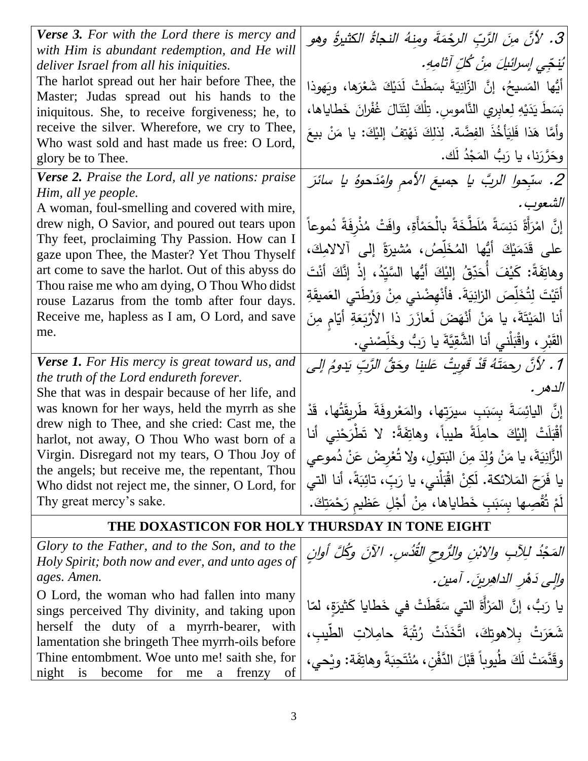| <b>Verse 3.</b> For with the Lord there is mercy and                                                | 3. لأنَّ منَ الرَّبِّ الرجْمَةَ ومِنهُ النجاةُ الكثيرةُ وهو                   |
|-----------------------------------------------------------------------------------------------------|-------------------------------------------------------------------------------|
| with Him is abundant redemption, and He will<br>deliver Israel from all his iniquities.             | يُنجّي إسرائيلَ مِنْ كُلِّ آثامِهِ.                                           |
| The harlot spread out her hair before Thee, the                                                     | أَيُّها المَسيحُ، إنَّ الزَّانِيَةَ بِسَطَتْ لَدَيْكَ شَعْرَها، ويَهوذا       |
| Master; Judas spread out his hands to the<br>iniquitous. She, to receive forgiveness; he, to        | بَسَطَ يَدَيْهِ لِعابِرِي النَّاموسِ. تِلْكَ لِتَنَالَ غُفْرانَ خَطاياها،     |
| receive the silver. Wherefore, we cry to Thee,                                                      | وأمَّا هَذا فَلِيَأْخُذَ الفِضَّة. لِذلِكَ نَهْتِفُ إِليْكَ: يا مَنْ بيعَ     |
| Who wast sold and hast made us free: O Lord,<br>glory be to Thee.                                   | وحَرَّرَنا، يا رَبُّ المَجْدُ لَك.                                            |
| <b>Verse 2.</b> Praise the Lord, all ye nations: praise                                             | 2. سبّحوا الربَّ يا جميعَ الأمم ولفَدَحوهُ يا سائرَ                           |
| Him, all ye people.                                                                                 | الشعوب.                                                                       |
| A woman, foul-smelling and covered with mire,<br>drew nigh, O Savior, and poured out tears upon     | إِنَّ امْرَأَةَ دَنِسَةً مُلَطَّخَةً بِالْحَمْأَةِ، وافَتْ مُذْرِفَةً دُموعاً |
| Thy feet, proclaiming Thy Passion. How can I                                                        | على قَدَمَيْكَ أَيُّها المُخَلِّصُ، مُشْيِرَةً إِلَى آلالامِكَ،               |
| gaze upon Thee, the Master? Yet Thou Thyself<br>art come to save the harlot. Out of this abyss do   | وهاتِفَةً: كَيْفَ أَحَدِّقُ إِلَيْكَ أَيُّها السَّيِّدُ، إِذْ إِنَّكَ أَنْتَ  |
| Thou raise me who am dying, O Thou Who didst                                                        |                                                                               |
| rouse Lazarus from the tomb after four days.                                                        | أَتَيْتَ لِتُخَلِّصَ الزانِيَةَ. فأَنْهِضْني مِنْ وَرْطَتي العَميقَةِ         |
| Receive me, hapless as I am, O Lord, and save<br>me.                                                | أنا المَيْتَةَ، يا مَنْ أَنْهَضَ لَعازَرَ ذا الأَرْبَعَةِ أَيّامٍ مِنَ        |
|                                                                                                     | القَبْرِ ، واقْبَلْني أنا الشَّقِيَّةَ يا رَبُّ وخَلِّصْني.                   |
| <b>Verse 1.</b> For His mercy is great toward us, and<br>the truth of the Lord endureth forever.    | 1 . لأنَّ رحمَتَهُ قَدْ قَوِيتُ عَلينا وحَقُّ الرَّبِّ يَدومُ إلى             |
| She that was in despair because of her life, and                                                    | الدهر .                                                                       |
| was known for her ways, held the myrrh as she<br>drew nigh to Thee, and she cried: Cast me, the     | إِنَّ الْيَائِسَةَ بِسَبَبِ سيرَتِها، والمَعْروفَةَ طَرِيقَتُها، قَدْ         |
| harlot, not away, O Thou Who wast born of a                                                         | أَقْبَلَتْ إِلَيْكَ حامِلَةً طَيباً، وهاتِفَةً: لا تَطْرَحْنِي أَنا           |
| Virgin. Disregard not my tears, O Thou Joy of                                                       | الزَّانِيَةَ، يا مَنْ وُلِدَ مِنَ البَتولِ، ولا تُعْرِضْ عَنْ دُموعي          |
| the angels; but receive me, the repentant, Thou<br>Who didst not reject me, the sinner, O Lord, for | يا فَرَحَ المَلائكة. لَكِنْ اقْبَلْني، يا رَبّ، تائِبَةً، أنا التي            |
| Thy great mercy's sake.                                                                             | لَمْ تُقْصِها بِسَبَبٍ خَطاياها، مِنْ أَجْلِ عَظيمٍ رَحْمَتِكَ.               |
| THE DOXASTICON FOR HOLY THURSDAY IN TONE EIGHT                                                      |                                                                               |
| Glory to the Father, and to the Son, and to the                                                     | المَجْدُ لِلِأَبِ وِالِأَبْنِ وِالرُّوحِ القُدُسِ. الآنَ وكُلَّ أُوان         |
| Holy Spirit; both now and ever, and unto ages of<br>ages. Amen.                                     | والِي دَهْرِ الداهِرِينَ. آمين.                                               |
| O Lord, the woman who had fallen into many                                                          |                                                                               |
| sings perceived Thy divinity, and taking upon                                                       | يا رَبُّ، إنَّ المَرْأَةَ الَّتِي سَقَطَتْ في خَطايا كَثيرَةٍ، لمّا           |
| herself the duty of a myrrh-bearer, with<br>lamentation she bringeth Thee myrrh-oils before         | شَعَرَتْ بلاهوتكَ، اتَّخَذَتْ رُتْبَةَ حامِلاتِ الطَّيبِ،                     |
| Thine entombment. Woe unto me! saith she, for                                                       | وقَدَّمَتْ لَكَ طُيوباً قَبْلَ الدَّفْنِ، مُنْتَحِبَةً وهاتِفَة: ويْحي،       |
| for<br>night<br>is<br>become<br>of<br>frenzy<br>me<br>a                                             |                                                                               |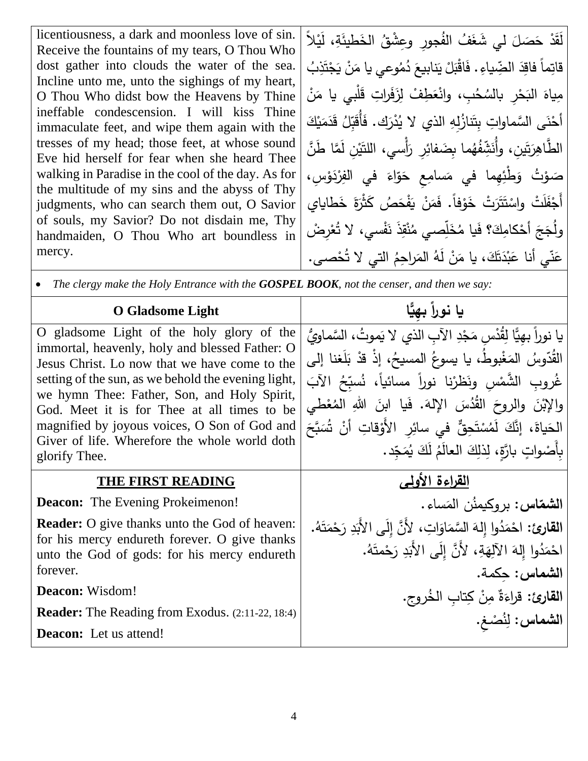licentiousness, a dark and moonless love of sin. Receive the fountains of my tears, O Thou Who dost gather into clouds the water of the sea. Incline unto me, unto the sighings of my heart, O Thou Who didst bow the Heavens by Thine ineffable condescension. I will kiss Thine immaculate feet, and wipe them again with the tresses of my head; those feet, at whose sound Eve hid herself for fear when she heard Thee walking in Paradise in the cool of the day. As for the multitude of my sins and the abyss of Thy judgments, who can search them out, O Savior of souls, my Savior? Do not disdain me, Thy handmaiden, O Thou Who art boundless in mercy.

لَقَدْ حَصَلَ لي شَغَفُ الفُجورِ وعِشْقُ الخَطيئَةِ، لَيْلاً  $\overline{\phantom{0}}$ قاتِماً فاقِدَ الضِّياءِ . فَاقْبَلْ يَنابيعَ دُمُوعي يا مَنْ يَجْتَذِبُ **ٔ** .<br>-ا<br>ا  $\zeta$ َـاً؛ <u>ٰ</u> <u>ہ</u> .<br>-مِياهَ البَحْرِ بالسُحُبِ، وانْعَطِفْ لِزَفَراتِ قَلْبِي يا مَنْ ا<br>ا َ َ َ <u>ٔ</u> َ أَحْنَى السَّماواتِ بِتَنازُلِهِ الذي لا يُدْرَك. فَأُقَبِّلُ قَدَمَيْكَ ا<br>ا <u>ہ</u> َ <u>آ</u> **ٔ** الطَّاهِرَتَينِ، وأُنَشِّفُهُما بِضَفائِرِ رَأْسي، اللتَيْنِ لَمَّا طَنَّ َ ْ أ  $\frac{1}{2}$ صَوْتُ وَطُّئِهِما في مَسامِعِ حَوَّاءَ في الفِرْدَوْسِ،<br>ِ ؛<br>' .<br>ب َ َ ا<br>ا أَجْفَلْتْ واسْتَتَرَتْ خَوْفا. فَمَنْ يَفْحَصُ كَثَرَةَ خَطَاياي َ َ  $\ddot{ }$ .<br>-ا<br>ا ْ ْ **ٔ** وَلُـجَـجَ أَحْكامِكَ؟ فَيا مُخَلِّصـي مُنْقِذَ نَفْسـي، لا تُـعْرِضْ ْ ا<br>ا <u>َ</u> لّ اً<br>أ <u>ہ</u> ــ<br>-َ ت َ د ب َ ّي أنا ع ن َ ع ُ ار ِحم الم ُ َه ل ن ، يا م َ ْ ك صى ُح التي ال ت . **ٔ** ـ<br>ـ <u>:</u> ً<br>-

• *The clergy make the Holy Entrance with the GOSPEL BOOK, not the censer, and then we say:*

| <b>O</b> Gladsome Light                                                                                                                                                                                                                                                                                                                                                                                             | يا نوراً بهيًّا                                                                                                                                                                                                                                                                                                                                                                        |
|---------------------------------------------------------------------------------------------------------------------------------------------------------------------------------------------------------------------------------------------------------------------------------------------------------------------------------------------------------------------------------------------------------------------|----------------------------------------------------------------------------------------------------------------------------------------------------------------------------------------------------------------------------------------------------------------------------------------------------------------------------------------------------------------------------------------|
| O gladsome Light of the holy glory of the<br>immortal, heavenly, holy and blessed Father: O<br>Jesus Christ. Lo now that we have come to the<br>setting of the sun, as we behold the evening light,<br>we hymn Thee: Father, Son, and Holy Spirit,<br>God. Meet it is for Thee at all times to be<br>magnified by joyous voices, O Son of God and<br>Giver of life. Wherefore the whole world doth<br>glorify Thee. | يا نوراً بهيًّا لِقُدْس مَجْدِ الآبِ الذي لا يَموتُ، السَّماويُّ<br>القُدّوسُ المَغْبوطُ، يا يسوعُ المسيحُ، إذْ قدْ بَلَغنا إلى<br>غُروب الشَّمْس ونَظرْنا نوراً مسائياً، نُسبِّحُ الآبَ<br>والإِبْنَ والروحَ القُدُسَ الإِلهَ. فَيا ابنَ اللهِ المُعْطى<br>الْحَياةَ، إِنَّكَ لَمُسْتَحِقٌّ في سائِرِ الأَوْقاتِ أَنْ شُبَجَ<br>بِأَصْواتٍ بِارَّةٍ، لِذَلِكَ العالَمُ لَكَ يُمَجِّد. |
| THE FIRST READING                                                                                                                                                                                                                                                                                                                                                                                                   | القراءة الأولسي                                                                                                                                                                                                                                                                                                                                                                        |
| <b>Deacon:</b> The Evening Prokeimenon!                                                                                                                                                                                                                                                                                                                                                                             | ا <b>لشماس:</b> بروكيمنُن المَساءِ.                                                                                                                                                                                                                                                                                                                                                    |
| <b>Reader:</b> O give thanks unto the God of heaven:<br>for his mercy endureth forever. O give thanks                                                                                                                                                                                                                                                                                                               | القارئ: احْمَدُوا إِلهَ السَّمَاوَاتِ، لأَنَّ إِلَى الأَبَدِ رَحْمَتَهُ.                                                                                                                                                                                                                                                                                                               |
| unto the God of gods: for his mercy endureth<br>forever.                                                                                                                                                                                                                                                                                                                                                            | احْمَدُوا إِلهَ الآلِهَةِ، لأَنَّ إِلَى الأَبَدِ رَحْمتَهُ.<br>الشماس: حكمة.                                                                                                                                                                                                                                                                                                           |
| Deacon: Wisdom!                                                                                                                                                                                                                                                                                                                                                                                                     | القارئ: قراءَةٌ مِنْ كِتابِ الخُروجِ.                                                                                                                                                                                                                                                                                                                                                  |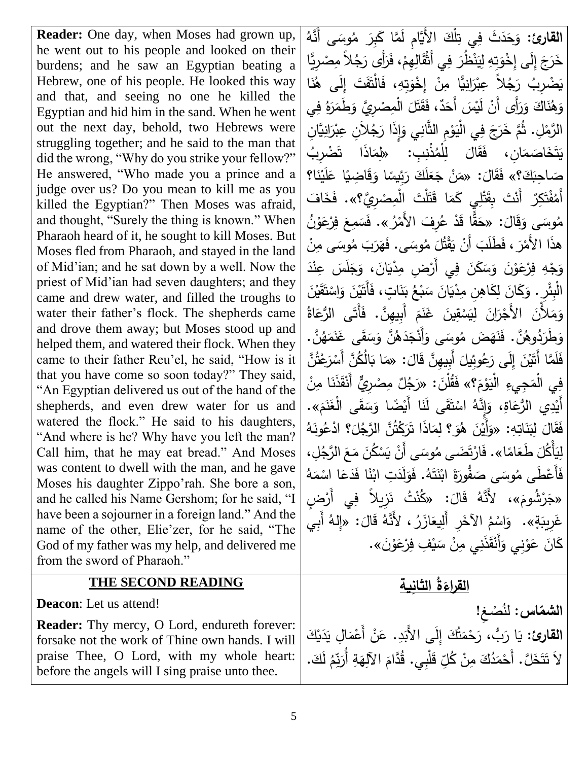**Reader:** One day, when Moses had grown up, he went out to his people and looked on their burdens; and he saw an Egyptian beating a Hebrew, one of his people. He looked this way and that, and seeing no one he killed the Egyptian and hid him in the sand. When he went out the next day, behold, two Hebrews were struggling together; and he said to the man that did the wrong, "Why do you strike your fellow?" He answered, "Who made you a prince and a judge over us? Do you mean to kill me as you killed the Egyptian?" Then Moses was afraid, and thought, "Surely the thing is known." When Pharaoh heard of it, he sought to kill Moses. But Moses fled from Pharaoh, and stayed in the land of Mid'ian; and he sat down by a well. Now the priest of Mid'ian had seven daughters; and they came and drew water, and filled the troughs to water their father's flock. The shepherds came and drove them away; but Moses stood up and helped them, and watered their flock. When they came to their father Reu'el, he said, "How is it that you have come so soon today?" They said, "An Egyptian delivered us out of the hand of the shepherds, and even drew water for us and watered the flock." He said to his daughters, "And where is he? Why have you left the man? Call him, that he may eat bread." And Moses was content to dwell with the man, and he gave Moses his daughter Zippo'rah. She bore a son, and he called his Name Gershom; for he said, "I have been a sojourner in a foreign land." And the name of the other, Elie'zer, for he said, "The God of my father was my help, and delivered me from the sword of Pharaoh."

## **THE SECOND READING**

**Deacon**: Let us attend!

**Reader:** Thy mercy, O Lord, endureth forever: forsake not the work of Thine own hands. I will praise Thee, O Lord, with my whole heart: before the angels will I sing praise unto thee.

**القارئ:** وَحَدَثَ فِي تِلْكَ الأَيَّامِ لَمَّا كَبِرَ مُوسَى أَنَّهُ<br>وَجَدَبَ مَا يَسْمَعُونَ مِنْ النَّامِ .<br>م َ َ خَرَجَ إِلَى إِخْوَتٍهِ لِيَنْظُرَ فِي أَثْقَالِهِمْ، فَرَأَى رَجُلاً مِصْرِيًّا َ ْ .<br>م َ .<br>با يَضْرِبُ رَجُلاً عِبْرَانِيًّا مِنْ إِخْوَتِهِ، فَالْتَفَتَ إِلَى هُٰنَا َ َ .<br>-َ َ <u>بَ</u>ّ وَهُنَاكَ وَرَأَى أَنْ لَيْسَ أَحَدٌ، فَقَتَلَ الْمِصْرِيَّ وَطَمَرَهُ فِي َ َ َ  $\overline{\phantom{a}}$ ة<br>م َ .<br>-الرَّمْلِ. ثُمَّ خَرَجَ فِي الْيَوْمِ الثَّانِي وَإِذَا رَجُلاَنِ عِبْرَانِيَّانِ َ َ ؛<br>' .<br>با ا<br>ا يَتَخَاصَمَانِ، فَقَالَ لِلْمُذْنِبِ: «لِمَاذَا تَضْرِبُ ا<br>ا  $\overline{\phantom{a}}$ .<br>م ا<br>. صَاحِبَكَ؟» فَقَالَ: «مَنْ جَعَلَكَ رَئِيسًا وَقَاضِيًا عَلَيْنَا؟<br>أَ فَيَجْمَعُ وَيَجْمَعُونَ حَيَّةً  $\overline{\phantom{a}}$ اب<br>ا ْ َ .<br>م َ ֺ֪֪֚֚֚֚֚֚֚֚֚֚֚֚֚֚֚֚֚֚֚֚֚֚֚֚֚֝֝֝֝֩֩ أَمُفْتَكِرٌ ۖ أَنْتَ بِقَتْلِي كَمَا قَتَلْتَ الْمِصْرِيَّ؟». فَخَافَ<br>. َ ة<br>ـ ا<br>ا ֺ<u>֟</u>֖֡֟ .<br>م .<br>م ُ ن و ْع ِر ف ع مِ َس «. ف ُ ر َف األَم ِر ُ ْ ع َد ا ق ق : »ح َ ال َ ق َ َ <sup>ى</sup> <sup>و</sup> وس ُ م ْ <u>م</u>  $\zeta$ ـا<br>ا ا<br>ا َ .<br>-هذَا الأَمْرَ ، فَطَلَبَ أَنْ يَقْتُلَ مُوسَى. فَهَرَبَ مُوسَى مِنْ **∶**  $\epsilon$  $\vdots$  $\ddot{ }$ .<br>-**∶** ْ وَجْهِ فِرْعَوْنَ وَسَكَنَ فِي أَرْضِ مِدْيَانَ، وَجَلَسَ عِنْدَ **ٔ** <u>ا</u><br>ا  $\overline{a}$  $\ddot{\phantom{0}}$ َ .<br>-<u>َ</u> .<br>-<br>-.<br>ا .<br>-ً<br>ب ْ الْبِئْرِ . وَكَانَ لِكَاهِنِ مِدْيَانَ سَبْعُ بَنَاتٍ، فَأَتَيْنَ وَاسْتَقَيْنَ ْ .<br>-.<br>م <u>آ</u> ْ َ  $\frac{1}{2}$ َ اب<br>ا با<br>∘ **:** ـ<br>.  $\ddot{ }$ .<br>-<br>-وَمَلأَنَ الأُجْرَانَ لِيَسْقِينَ غَنَمَ أُبِيهِنَّ. فَأَتَى الرُّعَاةُ<br>يَسْفَيْرِ النَّاسِيَةِ <u>ء</u> َ مُ ِ<br>ِ ْ .<br>ا وَطْرَدُوهُنَّ . فَنَهَضَ مُوسَى وَأَنْجَدَهُنَّ وَسَقَى غَنَمَهُنَّ .<br>رَبَّبُ أَنَّهُمْ الْمَسْرَةِ وَجَهْدَتَ الْمَجْمَعَةِ وَأَنْقَلَ الْمَجْمَعَةِ وَسَلَمَ ا<br>ا ـ<br>-َ َ َ َّن ُ ت َع ر َّن أَس ُ ُك ال ا ب : »م ال أَِبيِهَّن ق وِئيل ُ َع َى ر ِإل َ ْن ي َ َ َّما أَت ل َ ف <u>م</u> ـا<br>. َ ا<br>ا  $\overline{\phantom{a}}$ <u>ہ</u>  $\overline{a}$ .<br>-فِي الْمَجِيءِ الْيَوْمَ؟» فَقُلْنَ: «رَجُلٌ مِصْرِيٌّ أَنْقَذَنَا مِنْ<br>ءَ َ <u>َ</u> .<br>ا مُ ؛<br>. َى اْل ق س ْ ًضا و ا أَي َن َى ل ق ت اس ُ إِنَّه ، و ِ اة َ رع ِي الُّ د أَي «. م ن غ ً<br>أ َ ا<br>ا <u>بَ</u>ّ ْ و<br>أ ْ مُ .<br>ا َ فَقَالَ لِبَنَاتِهِ: «وَأَيْنَ هُوَ؟ لِمَاذَا تَرَكْتُنَّ الرَّجُلَ؟ ادْعُونَهُ<br>\* أَمَّا الْجَمَعَةِ ا<br>ا  $\overline{a}$ <u>ٔ</u> .<br>: ا<br>ا َ لِيَأْكُلَ طَعَامًا». فَارْتَضَى مُوسَى أَنْ يَسْكُنَ مَعَ الرَّجُلِ،<br>يَقْمَدُ مَسْتَمْسَلُونَ مَسْرَةٍ مِنْ الرَّجْلِ  $\zeta$ َ .<br>-ْ .<br>-.<br>ا <u>ہ</u> ُ ه م ا اس َع َد ا ف ً ن ِت اب َد ل َو . ف ُ َه ت ن اب ة فور ُّ َ <sup>ى</sup> <sup>ص</sup> وس ُ َطى م أَع َ ف ا<br>ا ْ <u>م</u> ْبَاءِ<br>:  $\ddot{ }$ ء<br>ِ َ ْ  $\ddot{\phantom{0}}$ َ َ **ٔ** ة<br>ا «جَرْشُومَ»، لأَنَّهُ قَالَ: «كُنْتُ نَزِيلاً فِي أَرْضٍ<br>. **ٔ** َ  $\overline{\phantom{a}}$ غَرِيبَةٍ». وَاسْمُ الآخَرِ أَلِيعَازَرُ، لأَنَّهُ قَالَ: «إِلهُ أَبِي  $\overline{\phantom{a}}$ <u>ة</u> **ء** <u>َ</u> ا<br>ن كَانَ عَوْنِي وَأَنْقَذَنِي مِنْ سَيْفِ فِرْعَوْنَ». <u>ٔ</u> <u>م</u>  $\overline{a}$ ً<br>ب <u>َ</u> <u>ٔ</u>

## <mark>القراءَةُ الثانِية</mark>

ا**لشماس:** لنُصْغِ! **القارئ:** َن . ع ِ د َى األَب ِإل ُك ت م َح ب، ر ُّ َ ا ر َ ي ْك ي د ا ِل ي م أَع <u>:</u> َ َ ً<br>ً ــ<br>-َ .<br>-.<br>: ا<br>ا **ٔ** لاَ تَتَخَلَّ. أَحْمَدُكَ مِنْ كُلِّ قَلْبِي. قُدَّامَ الآلِهَةِ أُرَنِّمُ لَكَ. ِّ قَلْبِي. قُدَّامَ الآلِهَةِ أُرَذِّ َ  $\epsilon$ مُ أَحْمَدُكَ مِنْ كُلِّ<br>أ .<br>ا **ٔ**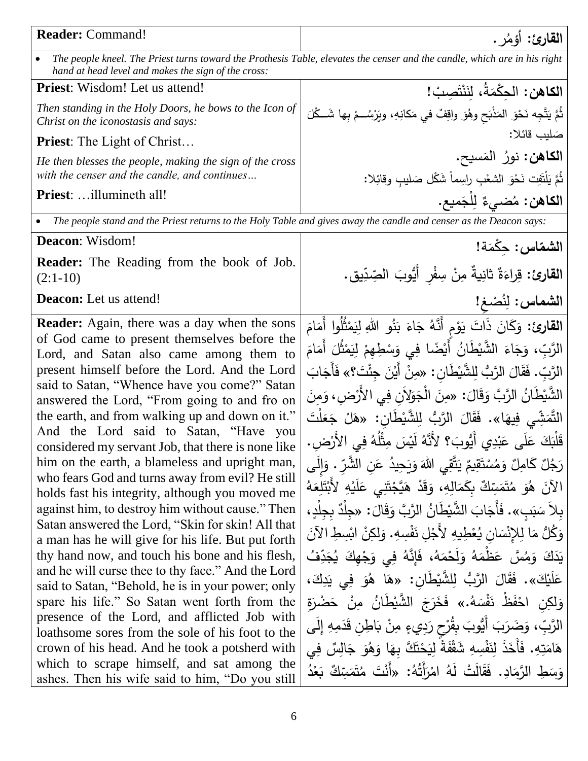| <b>Reader:</b> Command!                                                                                                                                                                                                                                                                                                                                                                                                                                                                                                                                                                                                                                                                                                                                                                                                                                                                                                                                                                                                                                                                                                                                                                                                                        | القارئ: أؤمُر .                                                                                                                                                                                                                                                                                                                                                                                                                                                                                                                                                                                                                                                                                                                                                                                                                                                                                                                                                                                                                                                                                                                                                                                                                                               |
|------------------------------------------------------------------------------------------------------------------------------------------------------------------------------------------------------------------------------------------------------------------------------------------------------------------------------------------------------------------------------------------------------------------------------------------------------------------------------------------------------------------------------------------------------------------------------------------------------------------------------------------------------------------------------------------------------------------------------------------------------------------------------------------------------------------------------------------------------------------------------------------------------------------------------------------------------------------------------------------------------------------------------------------------------------------------------------------------------------------------------------------------------------------------------------------------------------------------------------------------|---------------------------------------------------------------------------------------------------------------------------------------------------------------------------------------------------------------------------------------------------------------------------------------------------------------------------------------------------------------------------------------------------------------------------------------------------------------------------------------------------------------------------------------------------------------------------------------------------------------------------------------------------------------------------------------------------------------------------------------------------------------------------------------------------------------------------------------------------------------------------------------------------------------------------------------------------------------------------------------------------------------------------------------------------------------------------------------------------------------------------------------------------------------------------------------------------------------------------------------------------------------|
| The people kneel. The Priest turns toward the Prothesis Table, elevates the censer and the candle, which are in his right<br>$\bullet$<br>hand at head level and makes the sign of the cross:                                                                                                                                                                                                                                                                                                                                                                                                                                                                                                                                                                                                                                                                                                                                                                                                                                                                                                                                                                                                                                                  |                                                                                                                                                                                                                                                                                                                                                                                                                                                                                                                                                                                                                                                                                                                                                                                                                                                                                                                                                                                                                                                                                                                                                                                                                                                               |
| <b>Priest:</b> Wisdom! Let us attend!                                                                                                                                                                                                                                                                                                                                                                                                                                                                                                                                                                                                                                                                                                                                                                                                                                                                                                                                                                                                                                                                                                                                                                                                          | الكاهن: الحكْمَةُ، لنَنْتَصِبْ!                                                                                                                                                                                                                                                                                                                                                                                                                                                                                                                                                                                                                                                                                                                                                                                                                                                                                                                                                                                                                                                                                                                                                                                                                               |
| Then standing in the Holy Doors, he bows to the Icon of<br>Christ on the iconostasis and says:                                                                                                                                                                                                                                                                                                                                                                                                                                                                                                                                                                                                                                                                                                                                                                                                                                                                                                                                                                                                                                                                                                                                                 | ثُمَّ يَتَّجِه نَحْوَ المَذْبَحِ وهُوَ واقِفٌ في مَكانِهِ، ويَرْسُــمْ بِها شَــكْلَ                                                                                                                                                                                                                                                                                                                                                                                                                                                                                                                                                                                                                                                                                                                                                                                                                                                                                                                                                                                                                                                                                                                                                                          |
| <b>Priest:</b> The Light of Christ                                                                                                                                                                                                                                                                                                                                                                                                                                                                                                                                                                                                                                                                                                                                                                                                                                                                                                                                                                                                                                                                                                                                                                                                             | صَليب قائلا:                                                                                                                                                                                                                                                                                                                                                                                                                                                                                                                                                                                                                                                                                                                                                                                                                                                                                                                                                                                                                                                                                                                                                                                                                                                  |
| He then blesses the people, making the sign of the cross<br>with the censer and the candle, and continues                                                                                                                                                                                                                                                                                                                                                                                                                                                                                                                                                                                                                                                                                                                                                                                                                                                                                                                                                                                                                                                                                                                                      | ا <b>لكاهن:</b> نورُ  المَسيح.<br>ثُمَّ يَلْتَفِت نَحْوَ الشغْبِ راسِماً شَكْل صَليبٍ وقائِلا:                                                                                                                                                                                                                                                                                                                                                                                                                                                                                                                                                                                                                                                                                                                                                                                                                                                                                                                                                                                                                                                                                                                                                                |
| <b>Priest:</b> illumineth all!                                                                                                                                                                                                                                                                                                                                                                                                                                                                                                                                                                                                                                                                                                                                                                                                                                                                                                                                                                                                                                                                                                                                                                                                                 | ا <b>لكاهن</b> : مُضىيءٌ لِلْجَميع.                                                                                                                                                                                                                                                                                                                                                                                                                                                                                                                                                                                                                                                                                                                                                                                                                                                                                                                                                                                                                                                                                                                                                                                                                           |
| $\bullet$                                                                                                                                                                                                                                                                                                                                                                                                                                                                                                                                                                                                                                                                                                                                                                                                                                                                                                                                                                                                                                                                                                                                                                                                                                      | The people stand and the Priest returns to the Holy Table and gives away the candle and censer as the Deacon says:                                                                                                                                                                                                                                                                                                                                                                                                                                                                                                                                                                                                                                                                                                                                                                                                                                                                                                                                                                                                                                                                                                                                            |
| Deacon: Wisdom!                                                                                                                                                                                                                                                                                                                                                                                                                                                                                                                                                                                                                                                                                                                                                                                                                                                                                                                                                                                                                                                                                                                                                                                                                                | الشماس: حِكْمَة!                                                                                                                                                                                                                                                                                                                                                                                                                                                                                                                                                                                                                                                                                                                                                                                                                                                                                                                                                                                                                                                                                                                                                                                                                                              |
| <b>Reader:</b> The Reading from the book of Job.<br>$(2:1-10)$                                                                                                                                                                                                                                                                                                                                                                                                                                                                                                                                                                                                                                                                                                                                                                                                                                                                                                                                                                                                                                                                                                                                                                                 | ا <b>لقارئ:</b> قِراءَةٌ ثانِيةٌ مِنْ سِفْرٍ أَيُّوبَ الصِّدِّيقِ.                                                                                                                                                                                                                                                                                                                                                                                                                                                                                                                                                                                                                                                                                                                                                                                                                                                                                                                                                                                                                                                                                                                                                                                            |
| <b>Deacon:</b> Let us attend!                                                                                                                                                                                                                                                                                                                                                                                                                                                                                                                                                                                                                                                                                                                                                                                                                                                                                                                                                                                                                                                                                                                                                                                                                  | الشماس: لِنُصْغ!                                                                                                                                                                                                                                                                                                                                                                                                                                                                                                                                                                                                                                                                                                                                                                                                                                                                                                                                                                                                                                                                                                                                                                                                                                              |
| <b>Reader:</b> Again, there was a day when the sons<br>of God came to present themselves before the<br>Lord, and Satan also came among them to<br>present himself before the Lord. And the Lord<br>said to Satan, "Whence have you come?" Satan<br>answered the Lord, "From going to and fro on<br>the earth, and from walking up and down on it."<br>And the Lord said to Satan, "Have you<br>considered my servant Job, that there is none like<br>him on the earth, a blameless and upright man,<br>who fears God and turns away from evil? He still<br>holds fast his integrity, although you moved me<br>against him, to destroy him without cause." Then<br>Satan answered the Lord, "Skin for skin! All that<br>a man has he will give for his life. But put forth<br>thy hand now, and touch his bone and his flesh,<br>and he will curse thee to thy face." And the Lord<br>said to Satan, "Behold, he is in your power; only<br>spare his life." So Satan went forth from the<br>presence of the Lord, and afflicted Job with<br>loathsome sores from the sole of his foot to the<br>crown of his head. And he took a potsherd with<br>which to scrape himself, and sat among the<br>ashes. Then his wife said to him, "Do you still | ا <b>لقارئ:</b> وَكَانَ ذَاتَ يَوْمِ أَنَّهُ جَاءَ بَنُو اللهِ لِيَمْثُلُوا أَمَامَ<br>الرَّبّ، وَجَاءَ الشَّيْطَانُ أَيْضًا فِي وَسْطِهِمْ لِيَمْثُلَ أَمَامَ<br>الرَّبّ. فَقَالَ الرَّبُّ لِلشَّيْطَانِ : «مِنْ أَيْنَ جِئْتَ؟» فَأَجَابَ<br>الشَّيْطَانُ الرَّبَّ وَقَالَ: «مِنَ الْجَوَلِأَنِ فِي الأَرْضِ، وَمِنَ<br>التَّمَشِّي فِيهَا». فَقَالَ الرَّبُّ لِلشَّيْطَانِ: «هَلْ جَعَلْتَ<br>قَلْبَكَ عَلَى عَبْدِي أَيُّوبَ؟ لأَنَّهُ لَيْسَ مِثْلُهُ فِي الأَرْضِ.<br>رَجُلٌ كَامِلٌ وَمُسْتَقِيمٌ يَتَّقِى اللهَ وَيَحِيدُ عَنِ الشَّرِّ . وَإِلَى<br>الآنَ هُوَ مُتَمَسِّكٌ بِكَمَالِهِ، وَقَدْ هَيَّجْتَنِي عَلَيْهِ لأَبْتَلِعَهُ<br>بِلاَ سَبَبِ». فَأَجَابَ الشَّيْطَانُ الرَّبَّ وَقَالَ: «جِلْدٌ بِجِلْدٍ،<br>وَكُلٌ مَا لِلإِنْسَانِ يُعْطِيهِ لأَجْلِ نَفْسِهِ. وَلِكِنْ ابْسِطِ الآنَ<br>يَدَكَ وَمُسَّ عَظْمَهُ وَلَحْمَهُ، فَإِنَّهُ فِي وَجْهِكَ يُجَدِّفُ<br>عَلَيْكَ». فَقَالَ الرَّبُّ لِلشَّيْطَانِ: «هَا هُوَ فِي يَدِكَ،<br>وَلِكِنِ احْفَظُ نَفْسَهُ.» فَخَرَجَ الشَّيْطَانُ مِنْ حَضْرَة<br>الرَّبِّ، وَضَرَبَ أَيُّوبَ بِقُرْحٍ رَدِيءٍ مِنْ بَاطِنٍ قَدَمِهِ إِلَى<br>هَامَتِهِ. فَأَخَذَ لِنَفْسِهِ شَقْفَةً لِيَحْتَكَّ بِهَا وَهُوَ جَالِسٌ فِي<br>وَسَطِ الرَّمَادِ. فَقَالَتْ لَهُ امْرَأَتُهُ: «أَنْتَ مُتَمَسِّكٌ بَعْدُ |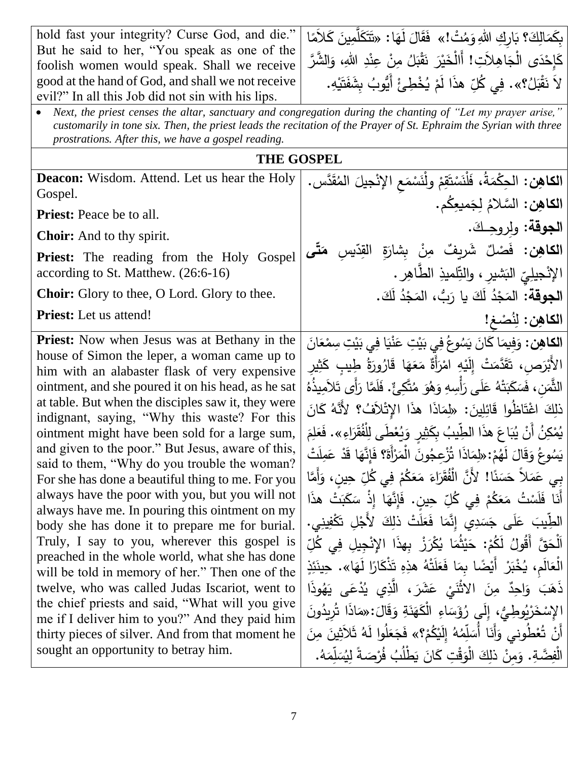hold fast your integrity? Curse God, and die." But he said to her, "You speak as one of the foolish women would speak. Shall we receive good at the hand of God, and shall we not receive evil?" In all this Job did not sin with his lips.

بِكَمَالِكَ؟ بَارِكِ اللهِ وَمُتْ!» فَقَالَ لَهَا: «تَتَكَلَّمِينَ كَلاَمًا َ <u>َ</u>  $\triangleleft$  $\overline{a}$ .<br>م  $\frac{1}{2}$ َ كَإِحْدَى الْجَاهِلاَتِ! أَالْخَيْرَ نَقْبَلُ مِنْ عِنْدِ اللهِ، وَالشَّرَّ َ <u>ا</u><br>ا .<br>-<br>-ان<br>ا َ َ ــ<br>-لاَ نَقْبَلُ؟». فِي كُلِّ هذَا لَمْ يُخْطِئُ أَيُّوبُ بِشَفَتَيْهِ.<br>\* ֦֧<u>֦</u>  $\frac{1}{2}$ **َ** م<br>أ ْ

• *Next, the priest censes the altar, sanctuary and congregation during the chanting of "Let my prayer arise," customarily in tone six. Then, the priest leads the recitation of the Prayer of St. Ephraim the Syrian with three prostrations. After this, we have a gospel reading.*

**THE GOSPEL**

**Deacon:** Wisdom. Attend. Let us hear the Holy Gospel.

**Priest:** Peace be to all.

**Choir:** And to thy spirit.

Priest: The reading from the Holy Gospel according to St. Matthew. (26:6-16)

**Choir:** Glory to thee, O Lord. Glory to thee.

**Priest:** Let us attend!

**Priest:** Now when Jesus was at Bethany in the house of Simon the leper, a woman came up to him with an alabaster flask of very expensive ointment, and she poured it on his head, as he sat at table. But when the disciples saw it, they were indignant, saying, "Why this waste? For this ointment might have been sold for a large sum, and given to the poor." But Jesus, aware of this, said to them, "Why do you trouble the woman? For she has done a beautiful thing to me. For you always have the poor with you, but you will not always have me. In pouring this ointment on my body she has done it to prepare me for burial. Truly, I say to you, wherever this gospel is preached in the whole world, what she has done will be told in memory of her." Then one of the twelve, who was called Judas Iscariot, went to the chief priests and said, "What will you give me if I deliver him to you?" And they paid him thirty pieces of silver. And from that moment he sought an opportunity to betray him.

| الكاهِن: الحِكْمَةُ، فَلْنَسْتَقِمْ ولْنَسْمَعِ الإِنْجِيلَ الْمُقَدَّس.        |
|---------------------------------------------------------------------------------|
| الكاهِن: السَّلامُ لِجَميعِكُم.                                                 |
| الجوقة: ولروجك.                                                                 |
| ا <b>لكاهِن:</b> فَصْلٌ شَرِيفٌ مِنْ بِشارَةٍ القِدِّيسِ <b>مَتَّ<i>ى</i></b>   |
| الإنْجيلِيّ الْبَشْيْرِ ، والنِّلميذِ الطَّاهِر .                               |
| ا <b>لجوقة:</b> المَجْدُ لَكَ يا رَبُّ، المَجْدُ لَكَ.                          |
| الكاهِن: لِنُصْغ!                                                               |
| ا <b>لكاهِن:</b> وَفِيمَا كَانَ يَسُوعُ فِي بَيْتِ عَنْيَا فِي بَيْتِ سِمْعَانَ |
| الأَنْدَص، تَقَدَّمَتْ الَّذه لِمْزَأَةٌ مَعَهَا قَادُورَةُ طِيبٍ كَثِيرٍ       |

طِيبٍ ِّبْرَصِ ، تَقَدَّمَتْ إِلَيْهِ امْرَأَةٌ مَعَهَا قَارُورَةُ طِيبٍ كَـ<br>. ة ورَةُ ارُو <u>ة</u> ا ق ه ع أَة راز ا<br>ا ام هِ <u>ٔ</u> َي َّدم ة<br>قا ِص، ت الأَبْرَصِ، تَقَدَّمَتْ إِلَيْهِ امْرَأَةٌ مَعَهَا قَارُورَةُ طِيبِ كَثِيرِ ِ ثاثا ك ُ ُذه ي َالَمِ أَى ت َ َ َّما ر ل َ . ف ٌ تَّكِئ ُ م َ و ُ ه َ و ِسهِ ْأ َ َى ر ل َ ُ ع ْه ت َ ب َ ك َ َس ِن، ف َ الثَّم ذلِكَ اغْتَاظُوا قَائِلِينَ: «لِمَاذَا هذَا الإِتْلاَفُ؟ لأَنَّهُ كَانَ<br>مسلمات َ م ِ ل َ َع اءِ «. ف َ َر ق ُ ْلف ِ َطى ل ع ُ ي َ يٍر و ِ ث َ ِبك ُ يب َ هَذا ال ّطِ اع َ ب ُ ي أَن ُ كِن م ُ ي ْ <u>:</u> ا<br>ا ْت َ ل مِ َ ْ ع َد ا ق َ ِإنَّه َ ؟ ف َ أَة ر َ اْلم َ ون ُ ُْزِعج َذا ت ا َ م ِ :»ل م ُ َه ل َ ال َ ق َ ُ و وع ُ َس ي .<br>م ْ بِي عَمَلاً حَسَنًا! لأَنَّ الْفُقَرَاءَ مَعَكُمْ فِي كُلِّ حِينٍ، وَأَمَّا<br>فَي الْمَسْرَ الْمَسْرَ الْمَسْرَ وَالْمَسْرَ الْمَسْرَ الْمَسَرَ وَالْمَسَرَ وَالْمَسَرَ وَالْمَسَرَ وَالْمَس ْ أَنَا فَلَسْتُ مَعَكُمْ فِي كُلِّ حِينٍ. فَإِنَّهَا إِذْ سَكَبَتْ هذَا<br>. ْ الطِّيبَ عَلَى جَسَدِي إِنَّمَا فَعَلَتْ ذلِكَ لأَجْلِ تَكْفِينِي.<br>تَسْتَخَذَرَ الْمُسَاءَ **:** ِّ اَلْحَقَّ أَقُولُ لَكُمْ: حَيْثُمَا يُكْرَزْ بِهذَا الإِنْجِيلِ فِي كُلِّ<br>أَ <u>ا</u> <u>ّ</u> ْ الْعَالَمِ، يُخْبَرْ أَيْضًا بِمَا فَعَلَتْهُ هذِهِ تَذْكَارًا لَهَا». حِينَئِذٍ .<br>م ذَهَبَ وَاحِدٌ مِنَ الاَثْنَيْ عَشَرَ، الَّذِي يُدْعَى يَهُوذَا **ٔ** الإِسْخَرْيُوطِيٌّ، إِلَي رُؤَسَاءِ الْكَهَذَةِ وَقَالَ: «مَاذَا تُرِيدُونَ<br>أَيُّمَا مُنْ تَسْخَرْتُوطِيٌّ إِلَيْ .<br>م ْ لِّمُهُ إِلَيْكُمْ؟» فَجَعَلُوا لَهُ ثَلاَ<br>\* ْ ْ لّ أَنْ تُعْطُوني وَأَنَا أَسَلِّمُهُ إِلَيْكُمْ؟» فَجَعَلُوا لَهُ ثَلاَثِينَ مِنَ<br>. ْ <u>:</u> . ُ ه َ م ِ لّ الْفِضَّةِ. وَمِنْ ذلِكَ الْوَقْتِ كَانَ يَطْلُبُ فُرْصَةً لِيُسَا <u>ّٰ</u> <u>:</u>